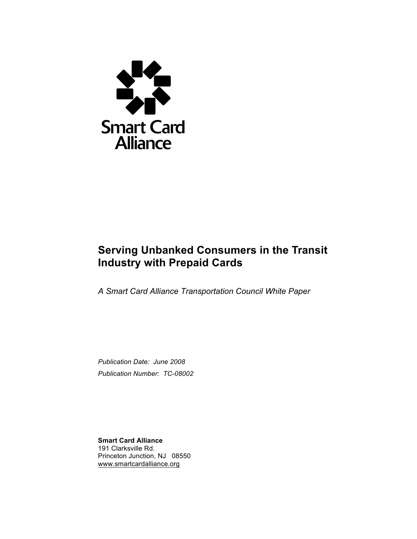

## **Serving Unbanked Consumers in the Transit Industry with Prepaid Cards**

*A Smart Card Alliance Transportation Council White Paper*

*Publication Date: June 2008 Publication Number: TC-08002*

**Smart Card Alliance** 191 Clarksville Rd. Princeton Junction, NJ 08550 www.smartcardalliance.org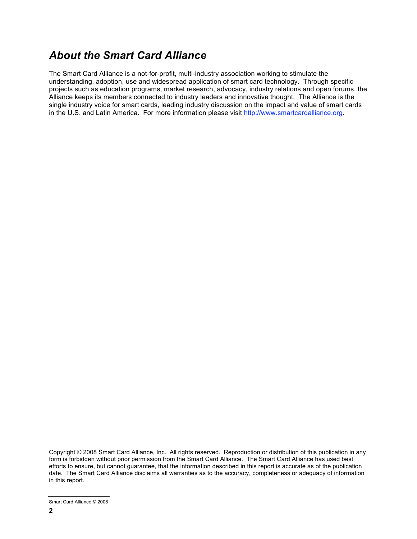## *About the Smart Card Alliance*

The Smart Card Alliance is a not-for-profit, multi-industry association working to stimulate the understanding, adoption, use and widespread application of smart card technology. Through specific projects such as education programs, market research, advocacy, industry relations and open forums, the Alliance keeps its members connected to industry leaders and innovative thought. The Alliance is the single industry voice for smart cards, leading industry discussion on the impact and value of smart cards in the U.S. and Latin America. For more information please visit http://www.smartcardalliance.org.

Copyright © 2008 Smart Card Alliance, Inc. All rights reserved. Reproduction or distribution of this publication in any form is forbidden without prior permission from the Smart Card Alliance. The Smart Card Alliance has used best efforts to ensure, but cannot guarantee, that the information described in this report is accurate as of the publication date. The Smart Card Alliance disclaims all warranties as to the accuracy, completeness or adequacy of information in this report.

Smart Card Alliance © 2008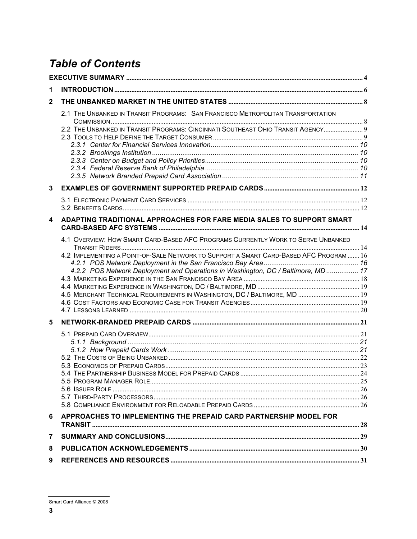# **Table of Contents**

| 1              |                                                                                        |  |  |  |  |  |  |  |
|----------------|----------------------------------------------------------------------------------------|--|--|--|--|--|--|--|
| $\overline{2}$ |                                                                                        |  |  |  |  |  |  |  |
|                | 2.1 THE UNBANKED IN TRANSIT PROGRAMS: SAN FRANCISCO METROPOLITAN TRANSPORTATION        |  |  |  |  |  |  |  |
|                | 2.2 THE UNBANKED IN TRANSIT PROGRAMS: CINCINNATI SOUTHEAST OHIO TRANSIT AGENCY 9       |  |  |  |  |  |  |  |
|                |                                                                                        |  |  |  |  |  |  |  |
|                |                                                                                        |  |  |  |  |  |  |  |
|                |                                                                                        |  |  |  |  |  |  |  |
|                |                                                                                        |  |  |  |  |  |  |  |
|                |                                                                                        |  |  |  |  |  |  |  |
| 3              |                                                                                        |  |  |  |  |  |  |  |
|                |                                                                                        |  |  |  |  |  |  |  |
|                |                                                                                        |  |  |  |  |  |  |  |
|                |                                                                                        |  |  |  |  |  |  |  |
| 4              | ADAPTING TRADITIONAL APPROACHES FOR FARE MEDIA SALES TO SUPPORT SMART                  |  |  |  |  |  |  |  |
|                |                                                                                        |  |  |  |  |  |  |  |
|                | 4.1 OVERVIEW: HOW SMART CARD-BASED AFC PROGRAMS CURRENTLY WORK TO SERVE UNBANKED       |  |  |  |  |  |  |  |
|                | 4.2 IMPLEMENTING A POINT-OF-SALE NETWORK TO SUPPORT A SMART CARD-BASED AFC PROGRAM  16 |  |  |  |  |  |  |  |
|                |                                                                                        |  |  |  |  |  |  |  |
|                | 4.2.2 POS Network Deployment and Operations in Washington, DC / Baltimore, MD 17       |  |  |  |  |  |  |  |
|                |                                                                                        |  |  |  |  |  |  |  |
|                |                                                                                        |  |  |  |  |  |  |  |
|                | 4.5 MERCHANT TECHNICAL REQUIREMENTS IN WASHINGTON, DC / BALTIMORE, MD  19              |  |  |  |  |  |  |  |
|                |                                                                                        |  |  |  |  |  |  |  |
|                |                                                                                        |  |  |  |  |  |  |  |
| 5              |                                                                                        |  |  |  |  |  |  |  |
|                |                                                                                        |  |  |  |  |  |  |  |
|                |                                                                                        |  |  |  |  |  |  |  |
|                |                                                                                        |  |  |  |  |  |  |  |
|                |                                                                                        |  |  |  |  |  |  |  |
|                |                                                                                        |  |  |  |  |  |  |  |
|                |                                                                                        |  |  |  |  |  |  |  |
|                |                                                                                        |  |  |  |  |  |  |  |
|                |                                                                                        |  |  |  |  |  |  |  |
|                |                                                                                        |  |  |  |  |  |  |  |
| 6              | APPROACHES TO IMPLEMENTING THE PREPAID CARD PARTNERSHIP MODEL FOR                      |  |  |  |  |  |  |  |
|                |                                                                                        |  |  |  |  |  |  |  |
| 7              |                                                                                        |  |  |  |  |  |  |  |
| 8              |                                                                                        |  |  |  |  |  |  |  |
| 9              |                                                                                        |  |  |  |  |  |  |  |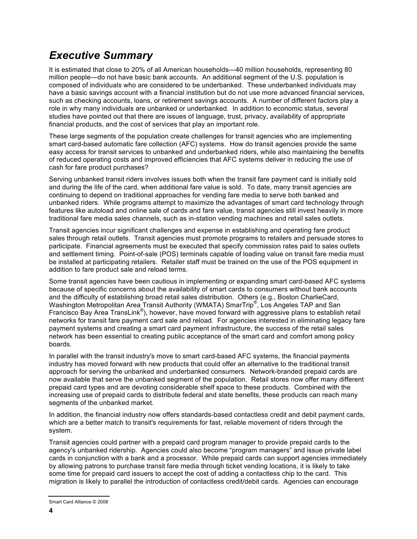## *Executive Summary*

It is estimated that close to 20% of all American households—40 million households, representing 80 million people—do not have basic bank accounts. An additional segment of the U.S. population is composed of individuals who are considered to be underbanked. These underbanked individuals may have a basic savings account with a financial institution but do not use more advanced financial services, such as checking accounts, loans, or retirement savings accounts. A number of different factors play a role in why many individuals are unbanked or underbanked. In addition to economic status, several studies have pointed out that there are issues of language, trust, privacy, availability of appropriate financial products, and the cost of services that play an important role.

These large segments of the population create challenges for transit agencies who are implementing smart card-based automatic fare collection (AFC) systems. How do transit agencies provide the same easy access for transit services to unbanked and underbanked riders, while also maintaining the benefits of reduced operating costs and improved efficiencies that AFC systems deliver in reducing the use of cash for fare product purchases?

Serving unbanked transit riders involves issues both when the transit fare payment card is initially sold and during the life of the card, when additional fare value is sold. To date, many transit agencies are continuing to depend on traditional approaches for vending fare media to serve both banked and unbanked riders. While programs attempt to maximize the advantages of smart card technology through features like autoload and online sale of cards and fare value, transit agencies still invest heavily in more traditional fare media sales channels, such as in-station vending machines and retail sales outlets.

Transit agencies incur significant challenges and expense in establishing and operating fare product sales through retail outlets. Transit agencies must promote programs to retailers and persuade stores to participate. Financial agreements must be executed that specify commission rates paid to sales outlets and settlement timing. Point-of-sale (POS) terminals capable of loading value on transit fare media must be installed at participating retailers. Retailer staff must be trained on the use of the POS equipment in addition to fare product sale and reload terms.

Some transit agencies have been cautious in implementing or expanding smart card-based AFC systems because of specific concerns about the availability of smart cards to consumers without bank accounts and the difficulty of establishing broad retail sales distribution. Others (e.g., Boston CharlieCard, Washington Metropolitan Area Transit Authority (WMATA) SmarTrip<sup>®</sup>, Los Angeles TAP and San Francisco Bay Area TransLink®), however, have moved forward with aggressive plans to establish retail networks for transit fare payment card sale and reload. For agencies interested in eliminating legacy fare payment systems and creating a smart card payment infrastructure, the success of the retail sales network has been essential to creating public acceptance of the smart card and comfort among policy boards.

In parallel with the transit industry's move to smart card-based AFC systems, the financial payments industry has moved forward with new products that could offer an alternative to the traditional transit approach for serving the unbanked and underbanked consumers. Network-branded prepaid cards are now available that serve the unbanked segment of the population. Retail stores now offer many different prepaid card types and are devoting considerable shelf space to these products. Combined with the increasing use of prepaid cards to distribute federal and state benefits, these products can reach many segments of the unbanked market.

In addition, the financial industry now offers standards-based contactless credit and debit payment cards, which are a better match to transit's requirements for fast, reliable movement of riders through the system.

Transit agencies could partner with a prepaid card program manager to provide prepaid cards to the agency's unbanked ridership. Agencies could also become "program managers" and issue private label cards in conjunction with a bank and a processor. While prepaid cards can support agencies immediately by allowing patrons to purchase transit fare media through ticket vending locations, it is likely to take some time for prepaid card issuers to accept the cost of adding a contactless chip to the card. This migration is likely to parallel the introduction of contactless credit/debit cards. Agencies can encourage

Smart Card Alliance © 2008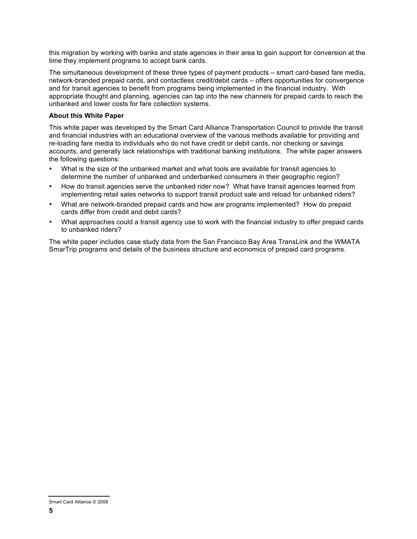this migration by working with banks and state agencies in their area to gain support for conversion at the time they implement programs to accept bank cards.

The simultaneous development of these three types of payment products – smart card-based fare media, network-branded prepaid cards, and contactless credit/debit cards – offers opportunities for convergence and for transit agencies to benefit from programs being implemented in the financial industry. With appropriate thought and planning, agencies can tap into the new channels for prepaid cards to reach the unbanked and lower costs for fare collection systems.

#### **About this White Paper**

This white paper was developed by the Smart Card Alliance Transportation Council to provide the transit and financial industries with an educational overview of the various methods available for providing and re-loading fare media to individuals who do not have credit or debit cards, nor checking or savings accounts, and generally lack relationships with traditional banking institutions. The white paper answers the following questions:

- What is the size of the unbanked market and what tools are available for transit agencies to determine the number of unbanked and underbanked consumers in their geographic region?
- How do transit agencies serve the unbanked rider now? What have transit agencies learned from implementing retail sales networks to support transit product sale and reload for unbanked riders?
- What are network-branded prepaid cards and how are programs implemented? How do prepaid cards differ from credit and debit cards?
- What approaches could a transit agency use to work with the financial industry to offer prepaid cards to unbanked riders?

The white paper includes case study data from the San Francisco Bay Area TransLink and the WMATA SmarTrip programs and details of the business structure and economics of prepaid card programs.

Smart Card Alliance © 2008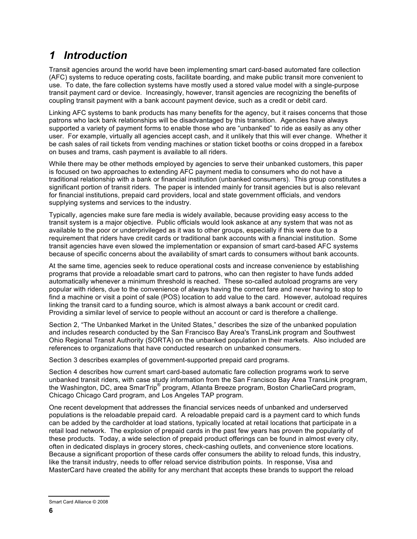## *1 Introduction*

Transit agencies around the world have been implementing smart card-based automated fare collection (AFC) systems to reduce operating costs, facilitate boarding, and make public transit more convenient to use. To date, the fare collection systems have mostly used a stored value model with a single-purpose transit payment card or device. Increasingly, however, transit agencies are recognizing the benefits of coupling transit payment with a bank account payment device, such as a credit or debit card.

Linking AFC systems to bank products has many benefits for the agency, but it raises concerns that those patrons who lack bank relationships will be disadvantaged by this transition. Agencies have always supported a variety of payment forms to enable those who are "unbanked" to ride as easily as any other user. For example, virtually all agencies accept cash, and it unlikely that this will ever change. Whether it be cash sales of rail tickets from vending machines or station ticket booths or coins dropped in a farebox on buses and trams, cash payment is available to all riders.

While there may be other methods employed by agencies to serve their unbanked customers, this paper is focused on two approaches to extending AFC payment media to consumers who do not have a traditional relationship with a bank or financial institution (unbanked consumers). This group constitutes a significant portion of transit riders. The paper is intended mainly for transit agencies but is also relevant for financial institutions, prepaid card providers, local and state government officials, and vendors supplying systems and services to the industry.

Typically, agencies make sure fare media is widely available, because providing easy access to the transit system is a major objective. Public officials would look askance at any system that was not as available to the poor or underprivileged as it was to other groups, especially if this were due to a requirement that riders have credit cards or traditional bank accounts with a financial institution. Some transit agencies have even slowed the implementation or expansion of smart card-based AFC systems because of specific concerns about the availability of smart cards to consumers without bank accounts.

At the same time, agencies seek to reduce operational costs and increase convenience by establishing programs that provide a reloadable smart card to patrons, who can then register to have funds added automatically whenever a minimum threshold is reached. These so-called autoload programs are very popular with riders, due to the convenience of always having the correct fare and never having to stop to find a machine or visit a point of sale (POS) location to add value to the card. However, autoload requires linking the transit card to a funding source, which is almost always a bank account or credit card. Providing a similar level of service to people without an account or card is therefore a challenge.

Section 2, "The Unbanked Market in the United States," describes the size of the unbanked population and includes research conducted by the San Francisco Bay Area's TransLink program and Southwest Ohio Regional Transit Authority (SORTA) on the unbanked population in their markets. Also included are references to organizations that have conducted research on unbanked consumers.

Section 3 describes examples of government-supported prepaid card programs.

Section 4 describes how current smart card-based automatic fare collection programs work to serve unbanked transit riders, with case study information from the San Francisco Bay Area TransLink program, the Washington, DC, area SmarTrip® program, Atlanta Breeze program, Boston CharlieCard program, Chicago Chicago Card program, and Los Angeles TAP program.

One recent development that addresses the financial services needs of unbanked and underserved populations is the reloadable prepaid card. A reloadable prepaid card is a payment card to which funds can be added by the cardholder at load stations, typically located at retail locations that participate in a retail load network. The explosion of prepaid cards in the past few years has proven the popularity of these products. Today, a wide selection of prepaid product offerings can be found in almost every city, often in dedicated displays in grocery stores, check-cashing outlets, and convenience store locations. Because a significant proportion of these cards offer consumers the ability to reload funds, this industry, like the transit industry, needs to offer reload service distribution points. In response, Visa and MasterCard have created the ability for any merchant that accepts these brands to support the reload

Smart Card Alliance © 2008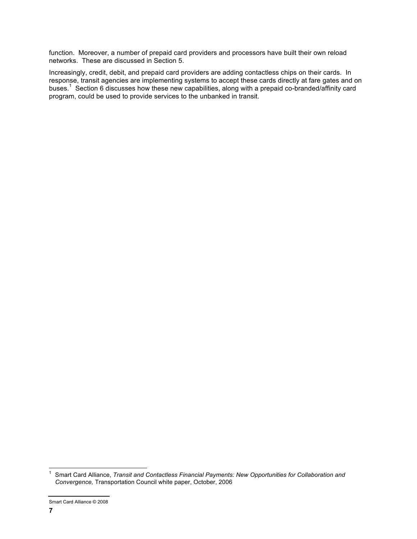function. Moreover, a number of prepaid card providers and processors have built their own reload networks. These are discussed in Section 5.

Increasingly, credit, debit, and prepaid card providers are adding contactless chips on their cards. In response, transit agencies are implementing systems to accept these cards directly at fare gates and on buses. 1 Section 6 discusses how these new capabilities, along with a prepaid co-branded/affinity card program, could be used to provide services to the unbanked in transit.

 <sup>1</sup> Smart Card Alliance, *Transit and Contactless Financial Payments: New Opportunities for Collaboration and Convergence,* Transportation Council white paper, October, 2006

Smart Card Alliance © 2008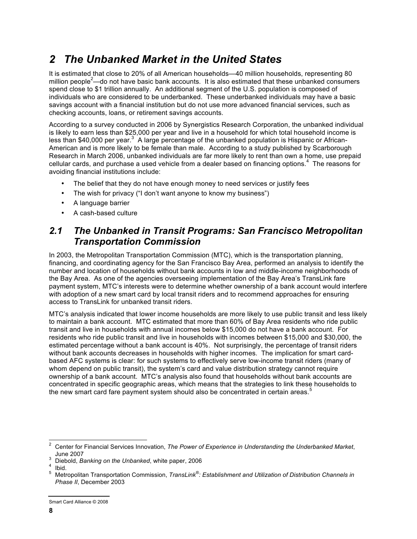# *2 The Unbanked Market in the United States*

It is estimated that close to 20% of all American households—40 million households, representing 80 million people<sup>2</sup>—do not have basic bank accounts. It is also estimated that these unbanked consumers spend close to \$1 trillion annually. An additional segment of the U.S. population is composed of individuals who are considered to be underbanked. These underbanked individuals may have a basic savings account with a financial institution but do not use more advanced financial services, such as checking accounts, loans, or retirement savings accounts.

According to a survey conducted in 2006 by Synergistics Research Corporation, the unbanked individual is likely to earn less than \$25,000 per year and live in a household for which total household income is less than \$40,000 per year.<sup>3</sup> A large percentage of the unbanked population is Hispanic or African-American and is more likely to be female than male. According to a study published by Scarborough Research in March 2006, unbanked individuals are far more likely to rent than own a home, use prepaid cellular cards, and purchase a used vehicle from a dealer based on financing options.<sup>4</sup> The reasons for avoiding financial institutions include:

- The belief that they do not have enough money to need services or justify fees
- The wish for privacy ("I don't want anyone to know my business")
- A language barrier
- A cash-based culture

#### *2.1 The Unbanked in Transit Programs: San Francisco Metropolitan Transportation Commission*

In 2003, the Metropolitan Transportation Commission (MTC), which is the transportation planning, financing, and coordinating agency for the San Francisco Bay Area, performed an analysis to identify the number and location of households without bank accounts in low and middle-income neighborhoods of the Bay Area. As one of the agencies overseeing implementation of the Bay Area's TransLink fare payment system, MTC's interests were to determine whether ownership of a bank account would interfere with adoption of a new smart card by local transit riders and to recommend approaches for ensuring access to TransLink for unbanked transit riders.

MTC's analysis indicated that lower income households are more likely to use public transit and less likely to maintain a bank account. MTC estimated that more than 60% of Bay Area residents who ride public transit and live in households with annual incomes below \$15,000 do not have a bank account. For residents who ride public transit and live in households with incomes between \$15,000 and \$30,000, the estimated percentage without a bank account is 40%. Not surprisingly, the percentage of transit riders without bank accounts decreases in households with higher incomes. The implication for smart cardbased AFC systems is clear: for such systems to effectively serve low-income transit riders (many of whom depend on public transit), the system's card and value distribution strategy cannot require ownership of a bank account. MTC's analysis also found that households without bank accounts are concentrated in specific geographic areas, which means that the strategies to link these households to the new smart card fare payment system should also be concentrated in certain areas.<sup>5</sup>

 <sup>2</sup> Center for Financial Services Innovation, *The Power of Experience in Understanding the Underbanked Market*, June 2007<br>Diebold, *Banking on the Unbanked*, white paper, 2006 Ibid.

Metropolitan Transportation Commission, TransLink®: Establishment and Utilization of Distribution Channels in *Phase II*, December 2003

Smart Card Alliance © 2008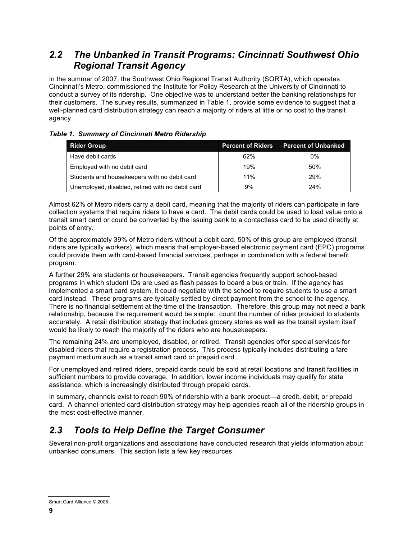#### *2.2 The Unbanked in Transit Programs: Cincinnati Southwest Ohio Regional Transit Agency*

In the summer of 2007, the Southwest Ohio Regional Transit Authority (SORTA), which operates Cincinnati's Metro, commissioned the Institute for Policy Research at the University of Cincinnati to conduct a survey of its ridership. One objective was to understand better the banking relationships for their customers. The survey results, summarized in Table 1, provide some evidence to suggest that a well-planned card distribution strategy can reach a majority of riders at little or no cost to the transit agency.

#### *Table 1. Summary of Cincinnati Metro Ridership*

| <b>Rider Group</b>                               | <b>Percent of Riders</b> | <b>Percent of Unbanked</b> |
|--------------------------------------------------|--------------------------|----------------------------|
| Have debit cards                                 | 62%                      | 0%                         |
| Employed with no debit card                      | 19%                      | 50%                        |
| Students and housekeepers with no debit card     | 11%                      | 29%                        |
| Unemployed, disabled, retired with no debit card | 9%                       | 24%                        |

Almost 62% of Metro riders carry a debit card, meaning that the majority of riders can participate in fare collection systems that require riders to have a card. The debit cards could be used to load value onto a transit smart card or could be converted by the issuing bank to a contactless card to be used directly at points of entry.

Of the approximately 39% of Metro riders without a debit card, 50% of this group are employed (transit riders are typically workers), which means that employer-based electronic payment card (EPC) programs could provide them with card-based financial services, perhaps in combination with a federal benefit program.

A further 29% are students or housekeepers. Transit agencies frequently support school-based programs in which student IDs are used as flash passes to board a bus or train. If the agency has implemented a smart card system, it could negotiate with the school to require students to use a smart card instead. These programs are typically settled by direct payment from the school to the agency. There is no financial settlement at the time of the transaction. Therefore, this group may not need a bank relationship, because the requirement would be simple: count the number of rides provided to students accurately. A retail distribution strategy that includes grocery stores as well as the transit system itself would be likely to reach the majority of the riders who are housekeepers.

The remaining 24% are unemployed, disabled, or retired. Transit agencies offer special services for disabled riders that require a registration process. This process typically includes distributing a fare payment medium such as a transit smart card or prepaid card.

For unemployed and retired riders, prepaid cards could be sold at retail locations and transit facilities in sufficient numbers to provide coverage. In addition, lower income individuals may qualify for state assistance, which is increasingly distributed through prepaid cards.

In summary, channels exist to reach 90% of ridership with a bank product—a credit, debit, or prepaid card. A channel-oriented card distribution strategy may help agencies reach all of the ridership groups in the most cost-effective manner.

### *2.3 Tools to Help Define the Target Consumer*

Several non-profit organizations and associations have conducted research that yields information about unbanked consumers. This section lists a few key resources.

Smart Card Alliance © 2008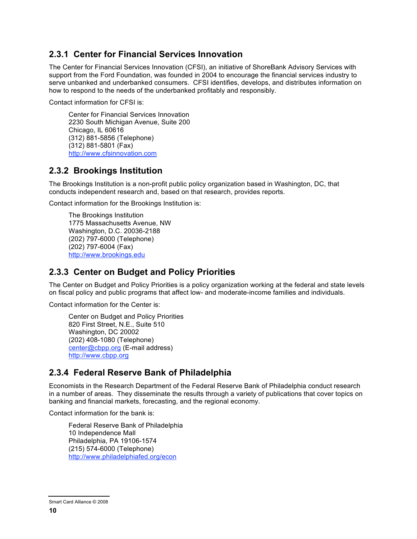#### **2.3.1 Center for Financial Services Innovation**

The Center for Financial Services Innovation (CFSI), an initiative of ShoreBank Advisory Services with support from the Ford Foundation, was founded in 2004 to encourage the financial services industry to serve unbanked and underbanked consumers. CFSI identifies, develops, and distributes information on how to respond to the needs of the underbanked profitably and responsibly.

Contact information for CFSI is:

Center for Financial Services Innovation 2230 South Michigan Avenue, Suite 200 Chicago, IL 60616 (312) 881-5856 (Telephone) (312) 881-5801 (Fax) http://www.cfsinnovation.com

#### **2.3.2 Brookings Institution**

The Brookings Institution is a non-profit public policy organization based in Washington, DC, that conducts independent research and, based on that research, provides reports.

Contact information for the Brookings Institution is:

The Brookings Institution 1775 Massachusetts Avenue, NW Washington, D.C. 20036-2188 (202) 797-6000 (Telephone) (202) 797-6004 (Fax) http://www.brookings.edu

#### **2.3.3 Center on Budget and Policy Priorities**

The Center on Budget and Policy Priorities is a policy organization working at the federal and state levels on fiscal policy and public programs that affect low- and moderate-income families and individuals.

Contact information for the Center is:

Center on Budget and Policy Priorities 820 First Street, N.E., Suite 510 Washington, DC 20002 (202) 408-1080 (Telephone) center@cbpp.org (E-mail address) http://www.cbpp.org

#### **2.3.4 Federal Reserve Bank of Philadelphia**

Economists in the Research Department of the Federal Reserve Bank of Philadelphia conduct research in a number of areas. They disseminate the results through a variety of publications that cover topics on banking and financial markets, forecasting, and the regional economy.

Contact information for the bank is:

Federal Reserve Bank of Philadelphia 10 Independence Mall Philadelphia, PA 19106-1574 (215) 574-6000 (Telephone) http://www.philadelphiafed.org/econ

Smart Card Alliance © 2008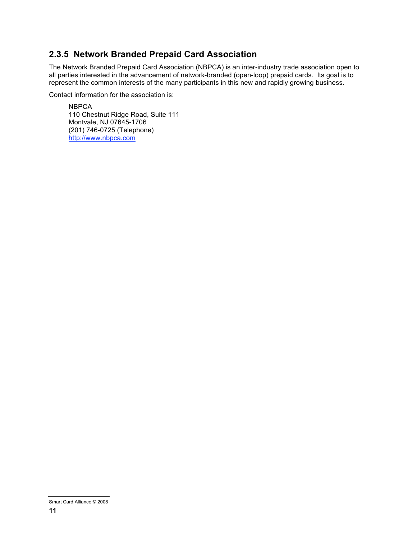#### **2.3.5 Network Branded Prepaid Card Association**

The Network Branded Prepaid Card Association (NBPCA) is an inter-industry trade association open to all parties interested in the advancement of network-branded (open-loop) prepaid cards. Its goal is to represent the common interests of the many participants in this new and rapidly growing business.

Contact information for the association is:

**NBPCA** 110 Chestnut Ridge Road, Suite 111 Montvale, NJ 07645-1706 (201) 746-0725 (Telephone) http://www.nbpca.com

Smart Card Alliance © 2008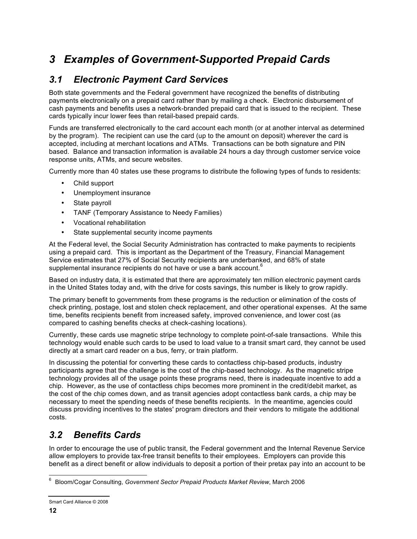# *3 Examples of Government-Supported Prepaid Cards*

### *3.1 Electronic Payment Card Services*

Both state governments and the Federal government have recognized the benefits of distributing payments electronically on a prepaid card rather than by mailing a check. Electronic disbursement of cash payments and benefits uses a network-branded prepaid card that is issued to the recipient. These cards typically incur lower fees than retail-based prepaid cards.

Funds are transferred electronically to the card account each month (or at another interval as determined by the program). The recipient can use the card (up to the amount on deposit) wherever the card is accepted, including at merchant locations and ATMs. Transactions can be both signature and PIN based. Balance and transaction information is available 24 hours a day through customer service voice response units, ATMs, and secure websites.

Currently more than 40 states use these programs to distribute the following types of funds to residents:

- Child support
- Unemployment insurance
- State payroll
- TANF (Temporary Assistance to Needy Families)
- Vocational rehabilitation
- State supplemental security income payments

At the Federal level, the Social Security Administration has contracted to make payments to recipients using a prepaid card. This is important as the Department of the Treasury, Financial Management Service estimates that 27% of Social Security recipients are underbanked, and 68% of state supplemental insurance recipients do not have or use a bank account.<sup>6</sup>

Based on industry data, it is estimated that there are approximately ten million electronic payment cards in the United States today and, with the drive for costs savings, this number is likely to grow rapidly.

The primary benefit to governments from these programs is the reduction or elimination of the costs of check printing, postage, lost and stolen check replacement, and other operational expenses. At the same time, benefits recipients benefit from increased safety, improved convenience, and lower cost (as compared to cashing benefits checks at check-cashing locations).

Currently, these cards use magnetic stripe technology to complete point-of-sale transactions. While this technology would enable such cards to be used to load value to a transit smart card, they cannot be used directly at a smart card reader on a bus, ferry, or train platform.

In discussing the potential for converting these cards to contactless chip-based products, industry participants agree that the challenge is the cost of the chip-based technology. As the magnetic stripe technology provides all of the usage points these programs need, there is inadequate incentive to add a chip. However, as the use of contactless chips becomes more prominent in the credit/debit market, as the cost of the chip comes down, and as transit agencies adopt contactless bank cards, a chip may be necessary to meet the spending needs of these benefits recipients. In the meantime, agencies could discuss providing incentives to the states' program directors and their vendors to mitigate the additional costs.

### *3.2 Benefits Cards*

In order to encourage the use of public transit, the Federal government and the Internal Revenue Service allow employers to provide tax-free transit benefits to their employees. Employers can provide this benefit as a direct benefit or allow individuals to deposit a portion of their pretax pay into an account to be

 <sup>6</sup> Bloom/Cogar Consulting, *Government Sector Prepaid Products Market Review*, March 2006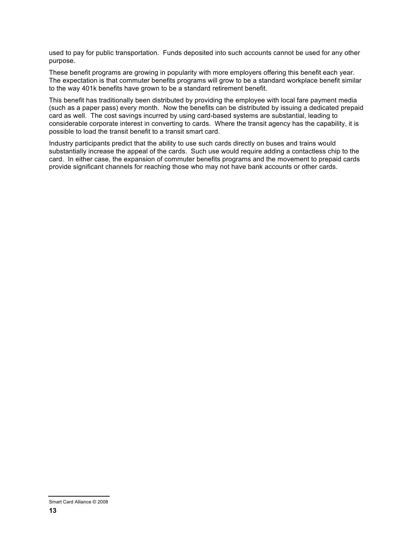used to pay for public transportation. Funds deposited into such accounts cannot be used for any other purpose.

These benefit programs are growing in popularity with more employers offering this benefit each year. The expectation is that commuter benefits programs will grow to be a standard workplace benefit similar to the way 401k benefits have grown to be a standard retirement benefit.

This benefit has traditionally been distributed by providing the employee with local fare payment media (such as a paper pass) every month. Now the benefits can be distributed by issuing a dedicated prepaid card as well. The cost savings incurred by using card-based systems are substantial, leading to considerable corporate interest in converting to cards. Where the transit agency has the capability, it is possible to load the transit benefit to a transit smart card.

Industry participants predict that the ability to use such cards directly on buses and trains would substantially increase the appeal of the cards. Such use would require adding a contactless chip to the card. In either case, the expansion of commuter benefits programs and the movement to prepaid cards provide significant channels for reaching those who may not have bank accounts or other cards.

Smart Card Alliance © 2008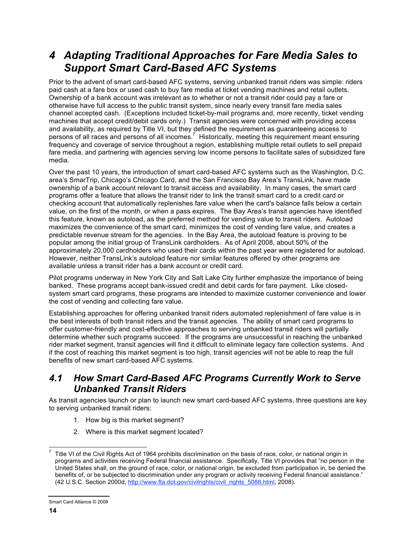## *4 Adapting Traditional Approaches for Fare Media Sales to Support Smart Card-Based AFC Systems*

Prior to the advent of smart card-based AFC systems, serving unbanked transit riders was simple: riders paid cash at a fare box or used cash to buy fare media at ticket vending machines and retail outlets. Ownership of a bank account was irrelevant as to whether or not a transit rider could pay a fare or otherwise have full access to the public transit system, since nearly every transit fare media sales channel accepted cash. (Exceptions included ticket-by-mail programs and, more recently, ticket vending machines that accept credit/debit cards only.) Transit agencies were concerned with providing access and availability, as required by Title VI, but they defined the requirement as guaranteeing access to persons of all races and persons of all incomes.<sup>7</sup> Historically, meeting this requirement meant ensuring frequency and coverage of service throughout a region, establishing multiple retail outlets to sell prepaid fare media, and partnering with agencies serving low income persons to facilitate sales of subsidized fare media.

Over the past 10 years, the introduction of smart card-based AFC systems such as the Washington, D.C. area's SmarTrip, Chicago's Chicago Card, and the San Francisco Bay Area's TransLink, have made ownership of a bank account relevant to transit access and availability. In many cases, the smart card programs offer a feature that allows the transit rider to link the transit smart card to a credit card or checking account that automatically replenishes fare value when the card's balance falls below a certain value, on the first of the month, or when a pass expires. The Bay Area's transit agencies have identified this feature, known as autoload, as the preferred method for vending value to transit riders. Autoload maximizes the convenience of the smart card, minimizes the cost of vending fare value, and creates a predictable revenue stream for the agencies. In the Bay Area, the autoload feature is proving to be popular among the initial group of TransLink cardholders. As of April 2008, about 50% of the approximately 20,000 cardholders who used their cards within the past year were registered for autoload. However, neither TransLink's autoload feature nor similar features offered by other programs are available unless a transit rider has a bank account or credit card.

Pilot programs underway in New York City and Salt Lake City further emphasize the importance of being banked. These programs accept bank-issued credit and debit cards for fare payment. Like closedsystem smart card programs, these programs are intended to maximize customer convenience and lower the cost of vending and collecting fare value.

Establishing approaches for offering unbanked transit riders automated replenishment of fare value is in the best interests of both transit riders and the transit agencies. The ability of smart card programs to offer customer-friendly and cost-effective approaches to serving unbanked transit riders will partially determine whether such programs succeed. If the programs are unsuccessful in reaching the unbanked rider market segment, transit agencies will find it difficult to eliminate legacy fare collection systems. And if the cost of reaching this market segment is too high, transit agencies will not be able to reap the full benefits of new smart card-based AFC systems.

#### *4.1 How Smart Card-Based AFC Programs Currently Work to Serve Unbanked Transit Riders*

As transit agencies launch or plan to launch new smart card-based AFC systems, three questions are key to serving unbanked transit riders:

- 1. How big is this market segment?
- 2. Where is this market segment located?

Title VI of the Civil Rights Act of 1964 prohibits discrimination on the basis of race, color, or national origin in programs and activities receiving Federal financial assistance. Specifically, Title VI provides that "no person in the United States shall, on the ground of race, color, or national origin, be excluded from participation in, be denied the benefits of, or be subjected to discrimination under any program or activity receiving Federal financial assistance." (42 U.S.C. Section 2000d, http://www.fta.dot.gov/civilrights/civil\_rights\_5088.html, 2008).

Smart Card Alliance © 2008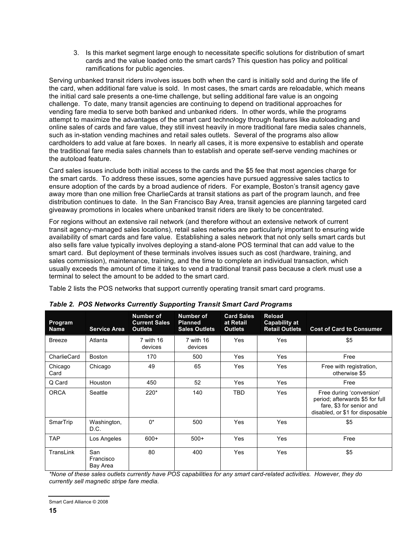3. Is this market segment large enough to necessitate specific solutions for distribution of smart cards and the value loaded onto the smart cards? This question has policy and political ramifications for public agencies.

Serving unbanked transit riders involves issues both when the card is initially sold and during the life of the card, when additional fare value is sold. In most cases, the smart cards are reloadable, which means the initial card sale presents a one-time challenge, but selling additional fare value is an ongoing challenge. To date, many transit agencies are continuing to depend on traditional approaches for vending fare media to serve both banked and unbanked riders. In other words, while the programs attempt to maximize the advantages of the smart card technology through features like autoloading and online sales of cards and fare value, they still invest heavily in more traditional fare media sales channels, such as in-station vending machines and retail sales outlets. Several of the programs also allow cardholders to add value at fare boxes. In nearly all cases, it is more expensive to establish and operate the traditional fare media sales channels than to establish and operate self-serve vending machines or the autoload feature.

Card sales issues include both initial access to the cards and the \$5 fee that most agencies charge for the smart cards. To address these issues, some agencies have pursued aggressive sales tactics to ensure adoption of the cards by a broad audience of riders. For example, Boston's transit agency gave away more than one million free CharlieCards at transit stations as part of the program launch, and free distribution continues to date. In the San Francisco Bay Area, transit agencies are planning targeted card giveaway promotions in locales where unbanked transit riders are likely to be concentrated.

For regions without an extensive rail network (and therefore without an extensive network of current transit agency-managed sales locations), retail sales networks are particularly important to ensuring wide availability of smart cards and fare value. Establishing a sales network that not only sells smart cards but also sells fare value typically involves deploying a stand-alone POS terminal that can add value to the smart card. But deployment of these terminals involves issues such as cost (hardware, training, and sales commission), maintenance, training, and the time to complete an individual transaction, which usually exceeds the amount of time it takes to vend a traditional transit pass because a clerk must use a terminal to select the amount to be added to the smart card.

Table 2 lists the POS networks that support currently operating transit smart card programs.

| Program<br><b>Name</b> | <b>Service Area</b>          | Number of<br><b>Current Sales</b><br><b>Outlets</b> | <b>Number of</b><br><b>Planned</b><br><b>Sales Outlets</b> | <b>Card Sales</b><br>at Retail<br><b>Outlets</b> | Reload<br><b>Capability at</b><br><b>Retail Outlets</b> | <b>Cost of Card to Consumer</b>                                                                                            |
|------------------------|------------------------------|-----------------------------------------------------|------------------------------------------------------------|--------------------------------------------------|---------------------------------------------------------|----------------------------------------------------------------------------------------------------------------------------|
| <b>Breeze</b>          | Atlanta                      | 7 with 16<br>devices                                | 7 with 16<br>devices                                       | Yes                                              | Yes                                                     | \$5                                                                                                                        |
| CharlieCard            | Boston                       | 170                                                 | 500                                                        | Yes                                              | Yes                                                     | Free                                                                                                                       |
| Chicago<br>Card        | Chicago                      | 49                                                  | 65                                                         | Yes                                              | Yes                                                     | Free with registration,<br>otherwise \$5                                                                                   |
| Q Card                 | Houston                      | 450                                                 | 52                                                         | Yes                                              | Yes                                                     | Free                                                                                                                       |
| <b>ORCA</b>            | Seattle                      | 220*                                                | 140                                                        | <b>TBD</b>                                       | Yes                                                     | Free during 'conversion'<br>period; afterwards \$5 for full<br>fare, \$3 for senior and<br>disabled, or \$1 for disposable |
| SmarTrip               | Washington,<br>D.C.          | $0^*$                                               | 500                                                        | Yes                                              | Yes                                                     | \$5                                                                                                                        |
| <b>TAP</b>             | Los Angeles                  | $600+$                                              | $500+$                                                     | Yes                                              | Yes                                                     | Free                                                                                                                       |
| TransLink              | San<br>Francisco<br>Bay Area | 80                                                  | 400                                                        | Yes                                              | Yes                                                     | \$5                                                                                                                        |

|  |  |  |  | Table 2. POS Networks Currently Supporting Transit Smart Card Programs |  |  |  |  |
|--|--|--|--|------------------------------------------------------------------------|--|--|--|--|
|--|--|--|--|------------------------------------------------------------------------|--|--|--|--|

*\*None of these sales outlets currently have POS capabilities for any smart card-related activities. However, they do currently sell magnetic stripe fare media.*

Smart Card Alliance © 2008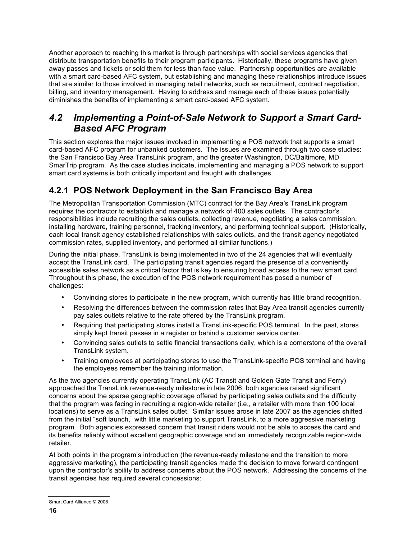Another approach to reaching this market is through partnerships with social services agencies that distribute transportation benefits to their program participants. Historically, these programs have given away passes and tickets or sold them for less than face value. Partnership opportunities are available with a smart card-based AFC system, but establishing and managing these relationships introduce issues that are similar to those involved in managing retail networks, such as recruitment, contract negotiation, billing, and inventory management. Having to address and manage each of these issues potentially diminishes the benefits of implementing a smart card-based AFC system.

#### *4.2 Implementing a Point-of-Sale Network to Support a Smart Card-Based AFC Program*

This section explores the major issues involved in implementing a POS network that supports a smart card-based AFC program for unbanked customers. The issues are examined through two case studies: the San Francisco Bay Area TransLink program, and the greater Washington, DC/Baltimore, MD SmarTrip program. As the case studies indicate, implementing and managing a POS network to support smart card systems is both critically important and fraught with challenges.

#### **4.2.1 POS Network Deployment in the San Francisco Bay Area**

The Metropolitan Transportation Commission (MTC) contract for the Bay Area's TransLink program requires the contractor to establish and manage a network of 400 sales outlets. The contractor's responsibilities include recruiting the sales outlets, collecting revenue, negotiating a sales commission, installing hardware, training personnel, tracking inventory, and performing technical support. (Historically, each local transit agency established relationships with sales outlets, and the transit agency negotiated commission rates, supplied inventory, and performed all similar functions.)

During the initial phase, TransLink is being implemented in two of the 24 agencies that will eventually accept the TransLink card. The participating transit agencies regard the presence of a conveniently accessible sales network as a critical factor that is key to ensuring broad access to the new smart card. Throughout this phase, the execution of the POS network requirement has posed a number of challenges:

- Convincing stores to participate in the new program, which currently has little brand recognition.
- Resolving the differences between the commission rates that Bay Area transit agencies currently pay sales outlets relative to the rate offered by the TransLink program.
- Requiring that participating stores install a TransLink-specific POS terminal. In the past, stores simply kept transit passes in a register or behind a customer service center.
- Convincing sales outlets to settle financial transactions daily, which is a cornerstone of the overall TransLink system.
- Training employees at participating stores to use the TransLink-specific POS terminal and having the employees remember the training information.

As the two agencies currently operating TransLink (AC Transit and Golden Gate Transit and Ferry) approached the TransLink revenue-ready milestone in late 2006, both agencies raised significant concerns about the sparse geographic coverage offered by participating sales outlets and the difficulty that the program was facing in recruiting a region-wide retailer (i.e., a retailer with more than 100 local locations) to serve as a TransLink sales outlet. Similar issues arose in late 2007 as the agencies shifted from the initial "soft launch," with little marketing to support TransLink, to a more aggressive marketing program. Both agencies expressed concern that transit riders would not be able to access the card and its benefits reliably without excellent geographic coverage and an immediately recognizable region-wide retailer.

At both points in the program's introduction (the revenue-ready milestone and the transition to more aggressive marketing), the participating transit agencies made the decision to move forward contingent upon the contractor's ability to address concerns about the POS network. Addressing the concerns of the transit agencies has required several concessions:

Smart Card Alliance © 2008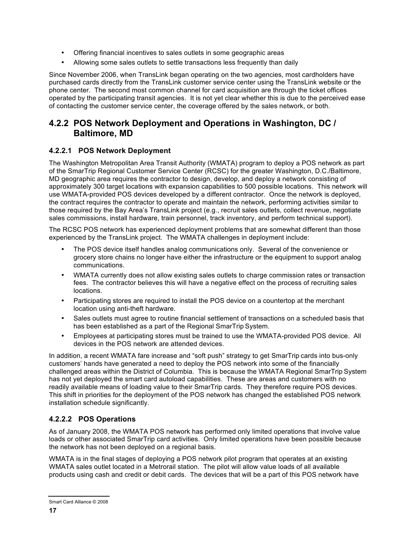- Offering financial incentives to sales outlets in some geographic areas
- Allowing some sales outlets to settle transactions less frequently than daily

Since November 2006, when TransLink began operating on the two agencies, most cardholders have purchased cards directly from the TransLink customer service center using the TransLink website or the phone center. The second most common channel for card acquisition are through the ticket offices operated by the participating transit agencies. It is not yet clear whether this is due to the perceived ease of contacting the customer service center, the coverage offered by the sales network, or both.

#### **4.2.2 POS Network Deployment and Operations in Washington, DC / Baltimore, MD**

#### **4.2.2.1 POS Network Deployment**

The Washington Metropolitan Area Transit Authority (WMATA) program to deploy a POS network as part of the SmarTrip Regional Customer Service Center (RCSC) for the greater Washington, D.C./Baltimore, MD geographic area requires the contractor to design, develop, and deploy a network consisting of approximately 300 target locations with expansion capabilities to 500 possible locations. This network will use WMATA-provided POS devices developed by a different contractor. Once the network is deployed, the contract requires the contractor to operate and maintain the network, performing activities similar to those required by the Bay Area's TransLink project (e.g., recruit sales outlets, collect revenue, negotiate sales commissions, install hardware, train personnel, track inventory, and perform technical support).

The RCSC POS network has experienced deployment problems that are somewhat different than those experienced by the TransLink project. The WMATA challenges in deployment include:

- The POS device itself handles analog communications only. Several of the convenience or grocery store chains no longer have either the infrastructure or the equipment to support analog communications.
- WMATA currently does not allow existing sales outlets to charge commission rates or transaction fees. The contractor believes this will have a negative effect on the process of recruiting sales locations.
- Participating stores are required to install the POS device on a countertop at the merchant location using anti-theft hardware.
- Sales outlets must agree to routine financial settlement of transactions on a scheduled basis that has been established as a part of the Regional SmarTrip System.
- Employees at participating stores must be trained to use the WMATA-provided POS device. All devices in the POS network are attended devices.

In addition, a recent WMATA fare increase and "soft push" strategy to get SmarTrip cards into bus-only customers' hands have generated a need to deploy the POS network into some of the financially challenged areas within the District of Columbia. This is because the WMATA Regional SmarTrip System has not yet deployed the smart card autoload capabilities. These are areas and customers with no readily available means of loading value to their SmarTrip cards. They therefore require POS devices. This shift in priorities for the deployment of the POS network has changed the established POS network installation schedule significantly.

#### **4.2.2.2 POS Operations**

As of January 2008, the WMATA POS network has performed only limited operations that involve value loads or other associated SmarTrip card activities. Only limited operations have been possible because the network has not been deployed on a regional basis.

WMATA is in the final stages of deploying a POS network pilot program that operates at an existing WMATA sales outlet located in a Metrorail station. The pilot will allow value loads of all available products using cash and credit or debit cards. The devices that will be a part of this POS network have

Smart Card Alliance © 2008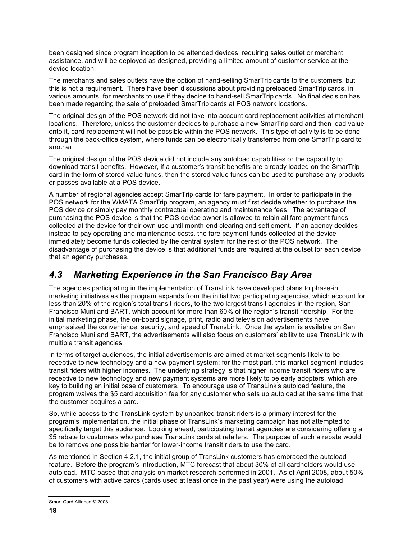been designed since program inception to be attended devices, requiring sales outlet or merchant assistance, and will be deployed as designed, providing a limited amount of customer service at the device location.

The merchants and sales outlets have the option of hand-selling SmarTrip cards to the customers, but this is not a requirement. There have been discussions about providing preloaded SmarTrip cards, in various amounts, for merchants to use if they decide to hand-sell SmarTrip cards. No final decision has been made regarding the sale of preloaded SmarTrip cards at POS network locations.

The original design of the POS network did not take into account card replacement activities at merchant locations. Therefore, unless the customer decides to purchase a new SmarTrip card and then load value onto it, card replacement will not be possible within the POS network. This type of activity is to be done through the back-office system, where funds can be electronically transferred from one SmarTrip card to another.

The original design of the POS device did not include any autoload capabilities or the capability to download transit benefits. However, if a customer's transit benefits are already loaded on the SmarTrip card in the form of stored value funds, then the stored value funds can be used to purchase any products or passes available at a POS device.

A number of regional agencies accept SmarTrip cards for fare payment. In order to participate in the POS network for the WMATA SmarTrip program, an agency must first decide whether to purchase the POS device or simply pay monthly contractual operating and maintenance fees. The advantage of purchasing the POS device is that the POS device owner is allowed to retain all fare payment funds collected at the device for their own use until month-end clearing and settlement. If an agency decides instead to pay operating and maintenance costs, the fare payment funds collected at the device immediately become funds collected by the central system for the rest of the POS network. The disadvantage of purchasing the device is that additional funds are required at the outset for each device that an agency purchases.

### *4.3 Marketing Experience in the San Francisco Bay Area*

The agencies participating in the implementation of TransLink have developed plans to phase-in marketing initiatives as the program expands from the initial two participating agencies, which account for less than 20% of the region's total transit riders, to the two largest transit agencies in the region, San Francisco Muni and BART, which account for more than 60% of the region's transit ridership. For the initial marketing phase, the on-board signage, print, radio and television advertisements have emphasized the convenience, security, and speed of TransLink. Once the system is available on San Francisco Muni and BART, the advertisements will also focus on customers' ability to use TransLink with multiple transit agencies.

In terms of target audiences, the initial advertisements are aimed at market segments likely to be receptive to new technology and a new payment system; for the most part, this market segment includes transit riders with higher incomes. The underlying strategy is that higher income transit riders who are receptive to new technology and new payment systems are more likely to be early adopters, which are key to building an initial base of customers. To encourage use of TransLink' s autoload feature, the program waives the \$5 card acquisition fee for any customer who sets up autoload at the same time that the customer acquires a card.

So, while access to the TransLink system by unbanked transit riders is a primary interest for the program's implementation, the initial phase of TransLink's marketing campaign has not attempted to specifically target this audience. Looking ahead, participating transit agencies are considering offering a \$5 rebate to customers who purchase TransLink cards at retailers. The purpose of such a rebate would be to remove one possible barrier for lower-income transit riders to use the card.

As mentioned in Section 4.2.1, the initial group of TransLink customers has embraced the autoload feature. Before the program's introduction, MTC forecast that about 30% of all cardholders would use autoload. MTC based that analysis on market research performed in 2001. As of April 2008, about 50% of customers with active cards (cards used at least once in the past year) were using the autoload

Smart Card Alliance © 2008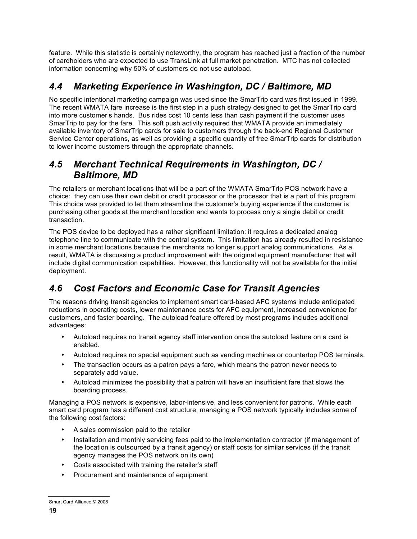feature. While this statistic is certainly noteworthy, the program has reached just a fraction of the number of cardholders who are expected to use TransLink at full market penetration. MTC has not collected information concerning why 50% of customers do not use autoload.

### *4.4 Marketing Experience in Washington, DC / Baltimore, MD*

No specific intentional marketing campaign was used since the SmarTrip card was first issued in 1999. The recent WMATA fare increase is the first step in a push strategy designed to get the SmarTrip card into more customer's hands. Bus rides cost 10 cents less than cash payment if the customer uses SmarTrip to pay for the fare. This soft push activity required that WMATA provide an immediately available inventory of SmarTrip cards for sale to customers through the back-end Regional Customer Service Center operations, as well as providing a specific quantity of free SmarTrip cards for distribution to lower income customers through the appropriate channels.

#### *4.5 Merchant Technical Requirements in Washington, DC / Baltimore, MD*

The retailers or merchant locations that will be a part of the WMATA SmarTrip POS network have a choice: they can use their own debit or credit processor or the processor that is a part of this program. This choice was provided to let them streamline the customer's buying experience if the customer is purchasing other goods at the merchant location and wants to process only a single debit or credit transaction.

The POS device to be deployed has a rather significant limitation: it requires a dedicated analog telephone line to communicate with the central system. This limitation has already resulted in resistance in some merchant locations because the merchants no longer support analog communications. As a result, WMATA is discussing a product improvement with the original equipment manufacturer that will include digital communication capabilities. However, this functionality will not be available for the initial deployment.

## *4.6 Cost Factors and Economic Case for Transit Agencies*

The reasons driving transit agencies to implement smart card-based AFC systems include anticipated reductions in operating costs, lower maintenance costs for AFC equipment, increased convenience for customers, and faster boarding. The autoload feature offered by most programs includes additional advantages:

- Autoload requires no transit agency staff intervention once the autoload feature on a card is enabled.
- Autoload requires no special equipment such as vending machines or countertop POS terminals.
- The transaction occurs as a patron pays a fare, which means the patron never needs to separately add value.
- Autoload minimizes the possibility that a patron will have an insufficient fare that slows the boarding process.

Managing a POS network is expensive, labor-intensive, and less convenient for patrons. While each smart card program has a different cost structure, managing a POS network typically includes some of the following cost factors:

- A sales commission paid to the retailer
- Installation and monthly servicing fees paid to the implementation contractor (if management of the location is outsourced by a transit agency) or staff costs for similar services (if the transit agency manages the POS network on its own)
- Costs associated with training the retailer's staff
- Procurement and maintenance of equipment

Smart Card Alliance © 2008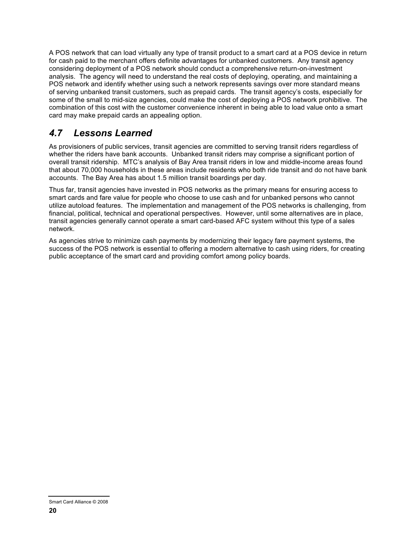A POS network that can load virtually any type of transit product to a smart card at a POS device in return for cash paid to the merchant offers definite advantages for unbanked customers. Any transit agency considering deployment of a POS network should conduct a comprehensive return-on-investment analysis. The agency will need to understand the real costs of deploying, operating, and maintaining a POS network and identify whether using such a network represents savings over more standard means of serving unbanked transit customers, such as prepaid cards. The transit agency's costs, especially for some of the small to mid-size agencies, could make the cost of deploying a POS network prohibitive. The combination of this cost with the customer convenience inherent in being able to load value onto a smart card may make prepaid cards an appealing option.

### *4.7 Lessons Learned*

As provisioners of public services, transit agencies are committed to serving transit riders regardless of whether the riders have bank accounts. Unbanked transit riders may comprise a significant portion of overall transit ridership. MTC's analysis of Bay Area transit riders in low and middle-income areas found that about 70,000 households in these areas include residents who both ride transit and do not have bank accounts. The Bay Area has about 1.5 million transit boardings per day.

Thus far, transit agencies have invested in POS networks as the primary means for ensuring access to smart cards and fare value for people who choose to use cash and for unbanked persons who cannot utilize autoload features. The implementation and management of the POS networks is challenging, from financial, political, technical and operational perspectives. However, until some alternatives are in place, transit agencies generally cannot operate a smart card-based AFC system without this type of a sales network.

As agencies strive to minimize cash payments by modernizing their legacy fare payment systems, the success of the POS network is essential to offering a modern alternative to cash using riders, for creating public acceptance of the smart card and providing comfort among policy boards.

Smart Card Alliance © 2008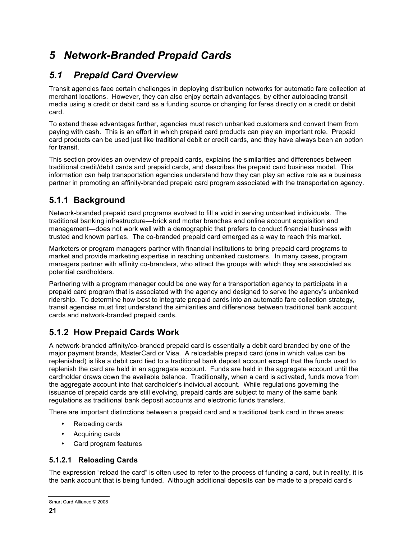# *5 Network-Branded Prepaid Cards*

## *5.1 Prepaid Card Overview*

Transit agencies face certain challenges in deploying distribution networks for automatic fare collection at merchant locations. However, they can also enjoy certain advantages, by either autoloading transit media using a credit or debit card as a funding source or charging for fares directly on a credit or debit card.

To extend these advantages further, agencies must reach unbanked customers and convert them from paying with cash. This is an effort in which prepaid card products can play an important role. Prepaid card products can be used just like traditional debit or credit cards, and they have always been an option for transit.

This section provides an overview of prepaid cards, explains the similarities and differences between traditional credit/debit cards and prepaid cards, and describes the prepaid card business model. This information can help transportation agencies understand how they can play an active role as a business partner in promoting an affinity-branded prepaid card program associated with the transportation agency.

### **5.1.1 Background**

Network-branded prepaid card programs evolved to fill a void in serving unbanked individuals. The traditional banking infrastructure—brick and mortar branches and online account acquisition and management—does not work well with a demographic that prefers to conduct financial business with trusted and known parties. The co-branded prepaid card emerged as a way to reach this market.

Marketers or program managers partner with financial institutions to bring prepaid card programs to market and provide marketing expertise in reaching unbanked customers. In many cases, program managers partner with affinity co-branders, who attract the groups with which they are associated as potential cardholders.

Partnering with a program manager could be one way for a transportation agency to participate in a prepaid card program that is associated with the agency and designed to serve the agency's unbanked ridership. To determine how best to integrate prepaid cards into an automatic fare collection strategy, transit agencies must first understand the similarities and differences between traditional bank account cards and network-branded prepaid cards.

### **5.1.2 How Prepaid Cards Work**

A network-branded affinity/co-branded prepaid card is essentially a debit card branded by one of the major payment brands, MasterCard or Visa. A reloadable prepaid card (one in which value can be replenished) is like a debit card tied to a traditional bank deposit account except that the funds used to replenish the card are held in an aggregate account. Funds are held in the aggregate account until the cardholder draws down the available balance. Traditionally, when a card is activated, funds move from the aggregate account into that cardholder's individual account. While regulations governing the issuance of prepaid cards are still evolving, prepaid cards are subject to many of the same bank regulations as traditional bank deposit accounts and electronic funds transfers.

There are important distinctions between a prepaid card and a traditional bank card in three areas:

- Reloading cards
- Acquiring cards
- Card program features

#### **5.1.2.1 Reloading Cards**

The expression "reload the card" is often used to refer to the process of funding a card, but in reality, it is the bank account that is being funded. Although additional deposits can be made to a prepaid card's

Smart Card Alliance © 2008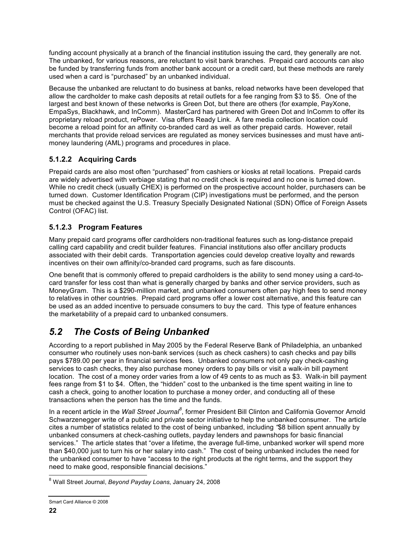funding account physically at a branch of the financial institution issuing the card, they generally are not. The unbanked, for various reasons, are reluctant to visit bank branches. Prepaid card accounts can also be funded by transferring funds from another bank account or a credit card, but these methods are rarely used when a card is "purchased" by an unbanked individual.

Because the unbanked are reluctant to do business at banks, reload networks have been developed that allow the cardholder to make cash deposits at retail outlets for a fee ranging from \$3 to \$5. One of the largest and best known of these networks is Green Dot, but there are others (for example, PayXone, EmpaSys, Blackhawk, and InComm). MasterCard has partnered with Green Dot and InComm to offer its proprietary reload product, rePower. Visa offers Ready Link. A fare media collection location could become a reload point for an affinity co-branded card as well as other prepaid cards. However, retail merchants that provide reload services are regulated as money services businesses and must have antimoney laundering (AML) programs and procedures in place.

#### **5.1.2.2 Acquiring Cards**

Prepaid cards are also most often "purchased" from cashiers or kiosks at retail locations. Prepaid cards are widely advertised with verbiage stating that no credit check is required and no one is turned down. While no credit check (usually CHEX) is performed on the prospective account holder, purchasers can be turned down. Customer Identification Program (CIP) investigations must be performed, and the person must be checked against the U.S. Treasury Specially Designated National (SDN) Office of Foreign Assets Control (OFAC) list.

#### **5.1.2.3 Program Features**

Many prepaid card programs offer cardholders non-traditional features such as long-distance prepaid calling card capability and credit builder features. Financial institutions also offer ancillary products associated with their debit cards. Transportation agencies could develop creative loyalty and rewards incentives on their own affinity/co-branded card programs, such as fare discounts.

One benefit that is commonly offered to prepaid cardholders is the ability to send money using a card-tocard transfer for less cost than what is generally charged by banks and other service providers, such as MoneyGram. This is a \$290-million market, and unbanked consumers often pay high fees to send money to relatives in other countries. Prepaid card programs offer a lower cost alternative, and this feature can be used as an added incentive to persuade consumers to buy the card. This type of feature enhances the marketability of a prepaid card to unbanked consumers.

### *5.2 The Costs of Being Unbanked*

According to a report published in May 2005 by the Federal Reserve Bank of Philadelphia, an unbanked consumer who routinely uses non-bank services (such as check cashers) to cash checks and pay bills pays \$789.00 per year in financial services fees. Unbanked consumers not only pay check-cashing services to cash checks, they also purchase money orders to pay bills or visit a walk-in bill payment location. The cost of a money order varies from a low of 49 cents to as much as \$3. Walk-in bill payment fees range from \$1 to \$4. Often, the "hidden" cost to the unbanked is the time spent waiting in line to cash a check, going to another location to purchase a money order, and conducting all of these transactions when the person has the time and the funds.

In a recent article in the *Wall Street Journal<sup>8</sup>*, former President Bill Clinton and California Governor Arnold Schwarzenegger write of a public and private sector initiative to help the unbanked consumer. The article cites a number of statistics related to the cost of being unbanked, including *"*\$8 billion spent annually by unbanked consumers at check-cashing outlets, payday lenders and pawnshops for basic financial services." The article states that "over a lifetime, the average full-time, unbanked worker will spend more than \$40,000 just to turn his or her salary into cash." The cost of being unbanked includes the need for the unbanked consumer to have "access to the right products at the right terms, and the support they need to make good, responsible financial decisions."

 <sup>8</sup> Wall Street Journal, *Beyond Payday Loans*, January 24, 2008

Smart Card Alliance © 2008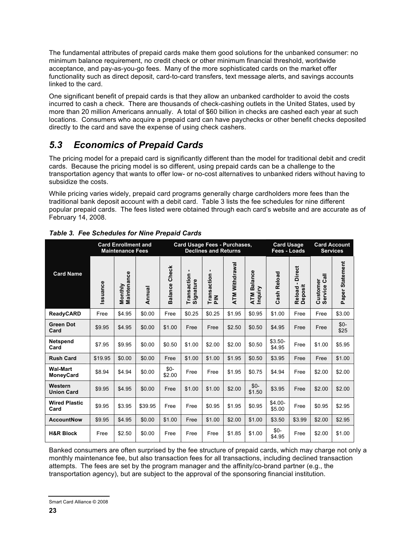The fundamental attributes of prepaid cards make them good solutions for the unbanked consumer: no minimum balance requirement, no credit check or other minimum financial threshold, worldwide acceptance, and pay-as-you-go fees. Many of the more sophisticated cards on the market offer functionality such as direct deposit, card-to-card transfers, text message alerts, and savings accounts linked to the card.

One significant benefit of prepaid cards is that they allow an unbanked cardholder to avoid the costs incurred to cash a check. There are thousands of check-cashing outlets in the United States, used by more than 20 million Americans annually. A total of \$60 billion in checks are cashed each year at such locations. Consumers who acquire a prepaid card can have paychecks or other benefit checks deposited directly to the card and save the expense of using check cashers.

### *5.3 Economics of Prepaid Cards*

The pricing model for a prepaid card is significantly different than the model for traditional debit and credit cards. Because the pricing model is so different, using prepaid cards can be a challenge to the transportation agency that wants to offer low- or no-cost alternatives to unbanked riders without having to subsidize the costs.

While pricing varies widely, prepaid card programs generally charge cardholders more fees than the traditional bank deposit account with a debit card. Table 3 lists the fee schedules for nine different popular prepaid cards. The fees listed were obtained through each card's website and are accurate as of February 14, 2008.

|                              |          | <b>Card Enrollment and</b><br><b>Maintenance Fees</b> |         | Card Usage Fees - Purchases,<br><b>Declines and Returns</b> |                                            |                                        |                       |                                     | <b>Card Usage</b><br>Fees - Loads |                                      | <b>Card Account</b><br><b>Services</b>   |                 |
|------------------------------|----------|-------------------------------------------------------|---------|-------------------------------------------------------------|--------------------------------------------|----------------------------------------|-----------------------|-------------------------------------|-----------------------------------|--------------------------------------|------------------------------------------|-----------------|
| <b>Card Name</b>             | Issuance | Maintenance<br>Monthly                                | Annual  | <b>Balance Check</b>                                        | $\blacksquare$<br>Transaction<br>Signature | $\blacksquare$<br>Transaction -<br>PIN | <b>ATM Withdrawal</b> | <b>Balance</b><br>ATM Ba<br>Inquiry | Cash Reload                       | <b>Direct</b><br>Reload -<br>Deposit | $\overline{a}$<br>Customer<br>Service Ca | Paper Statement |
| ReadyCARD                    | Free     | \$4.95                                                | \$0.00  | Free                                                        | \$0.25                                     | \$0.25                                 | \$1.95                | \$0.95                              | \$1.00                            | Free                                 | Free                                     | \$3.00          |
| <b>Green Dot</b><br>Card     | \$9.95   | \$4.95                                                | \$0.00  | \$1.00                                                      | Free                                       | Free                                   | \$2.50                | \$0.50                              | \$4.95                            | Free                                 | Free                                     | $$0-$<br>\$25   |
| <b>Netspend</b><br>Card      | \$7.95   | \$9.95                                                | \$0.00  | \$0.50                                                      | \$1.00                                     | \$2.00                                 | \$2.00                | \$0.50                              | $$3.50-$<br>\$4.95                | Free                                 | \$1.00                                   | \$5.95          |
| <b>Rush Card</b>             | \$19.95  | \$0.00                                                | \$0.00  | Free                                                        | \$1.00                                     | \$1.00                                 | \$1.95                | \$0.50                              | \$3.95                            | Free                                 | Free                                     | \$1.00          |
| Wal-Mart<br>MoneyCard        | \$8.94   | \$4.94                                                | \$0.00  | $$0-$<br>\$2.00                                             | Free                                       | Free                                   | \$1.95                | \$0.75                              | \$4.94                            | Free                                 | \$2.00                                   | \$2.00          |
| Western<br><b>Union Card</b> | \$9.95   | \$4.95                                                | \$0.00  | Free                                                        | \$1.00                                     | \$1.00                                 | \$2.00                | $$0-$<br>\$1.50                     | \$3.95                            | Free                                 | \$2.00                                   | \$2.00          |
| <b>Wired Plastic</b><br>Card | \$9.95   | \$3.95                                                | \$39.95 | Free                                                        | Free                                       | \$0.95                                 | \$1.95                | \$0.95                              | \$4.00-<br>\$5.00                 | Free                                 | \$0.95                                   | \$2.95          |
| <b>AccountNow</b>            | \$9.95   | \$4.95                                                | \$0.00  | \$1.00                                                      | Free                                       | \$1.00                                 | \$2.00                | \$1.00                              | \$3.50                            | \$3.99                               | \$2.00                                   | \$2.95          |
| <b>H&amp;R Block</b>         | Free     | \$2.50                                                | \$0.00  | Free                                                        | Free                                       | Free                                   | \$1.85                | \$1.00                              | $$0-$<br>\$4.95                   | Free                                 | \$2.00                                   | \$1.00          |

*Table 3. Fee Schedules for Nine Prepaid Cards*

Banked consumers are often surprised by the fee structure of prepaid cards, which may charge not only a monthly maintenance fee, but also transaction fees for all transactions, including declined transaction attempts. The fees are set by the program manager and the affinity/co-brand partner (e.g., the transportation agency), but are subject to the approval of the sponsoring financial institution.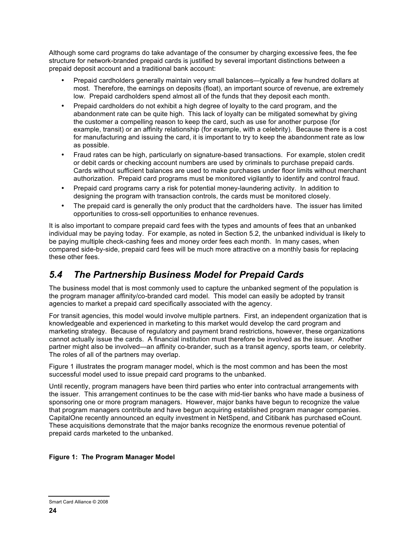Although some card programs do take advantage of the consumer by charging excessive fees, the fee structure for network-branded prepaid cards is justified by several important distinctions between a prepaid deposit account and a traditional bank account:

- Prepaid cardholders generally maintain very small balances—typically a few hundred dollars at most. Therefore, the earnings on deposits (float), an important source of revenue, are extremely low. Prepaid cardholders spend almost all of the funds that they deposit each month.
- Prepaid cardholders do not exhibit a high degree of loyalty to the card program, and the abandonment rate can be quite high. This lack of loyalty can be mitigated somewhat by giving the customer a compelling reason to keep the card, such as use for another purpose (for example, transit) or an affinity relationship (for example, with a celebrity). Because there is a cost for manufacturing and issuing the card, it is important to try to keep the abandonment rate as low as possible.
- Fraud rates can be high, particularly on signature-based transactions. For example, stolen credit or debit cards or checking account numbers are used by criminals to purchase prepaid cards. Cards without sufficient balances are used to make purchases under floor limits without merchant authorization. Prepaid card programs must be monitored vigilantly to identify and control fraud.
- Prepaid card programs carry a risk for potential money-laundering activity. In addition to designing the program with transaction controls, the cards must be monitored closely.
- The prepaid card is generally the only product that the cardholders have. The issuer has limited opportunities to cross-sell opportunities to enhance revenues.

It is also important to compare prepaid card fees with the types and amounts of fees that an unbanked individual may be paying today. For example, as noted in Section 5.2, the unbanked individual is likely to be paying multiple check-cashing fees and money order fees each month. In many cases, when compared side-by-side, prepaid card fees will be much more attractive on a monthly basis for replacing these other fees.

### *5.4 The Partnership Business Model for Prepaid Cards*

The business model that is most commonly used to capture the unbanked segment of the population is the program manager affinity/co-branded card model. This model can easily be adopted by transit agencies to market a prepaid card specifically associated with the agency.

For transit agencies, this model would involve multiple partners. First, an independent organization that is knowledgeable and experienced in marketing to this market would develop the card program and marketing strategy. Because of regulatory and payment brand restrictions, however, these organizations cannot actually issue the cards. A financial institution must therefore be involved as the issuer. Another partner might also be involved—an affinity co-brander, such as a transit agency, sports team, or celebrity. The roles of all of the partners may overlap.

Figure 1 illustrates the program manager model, which is the most common and has been the most successful model used to issue prepaid card programs to the unbanked.

Until recently, program managers have been third parties who enter into contractual arrangements with the issuer. This arrangement continues to be the case with mid-tier banks who have made a business of sponsoring one or more program managers. However, major banks have begun to recognize the value that program managers contribute and have begun acquiring established program manager companies. CapitalOne recently announced an equity investment in NetSpend, and Citibank has purchased eCount. These acquisitions demonstrate that the major banks recognize the enormous revenue potential of prepaid cards marketed to the unbanked.

#### **Figure 1: The Program Manager Model**

Smart Card Alliance © 2008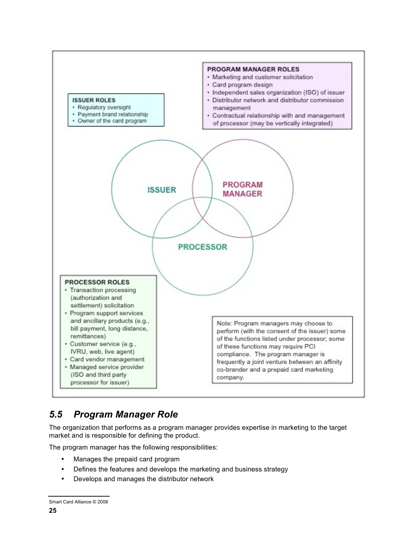

### *5.5 Program Manager Role*

The organization that performs as a program manager provides expertise in marketing to the target market and is responsible for defining the product.

The program manager has the following responsibilities:

- Manages the prepaid card program
- Defines the features and develops the marketing and business strategy
- Develops and manages the distributor network

Smart Card Alliance © 2008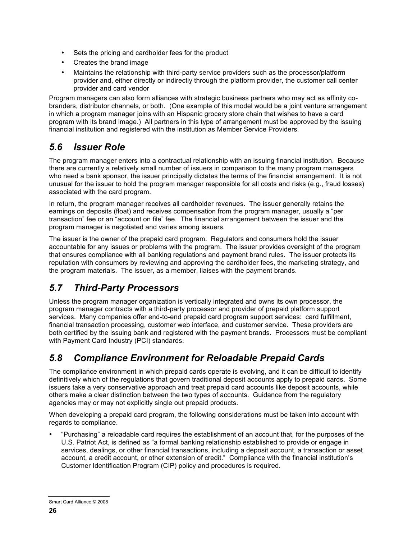- Sets the pricing and cardholder fees for the product
- Creates the brand image
- Maintains the relationship with third-party service providers such as the processor/platform provider and, either directly or indirectly through the platform provider, the customer call center provider and card vendor

Program managers can also form alliances with strategic business partners who may act as affinity cobranders, distributor channels, or both. (One example of this model would be a joint venture arrangement in which a program manager joins with an Hispanic grocery store chain that wishes to have a card program with its brand image.) All partners in this type of arrangement must be approved by the issuing financial institution and registered with the institution as Member Service Providers.

#### *5.6 Issuer Role*

The program manager enters into a contractual relationship with an issuing financial institution. Because there are currently a relatively small number of issuers in comparison to the many program managers who need a bank sponsor, the issuer principally dictates the terms of the financial arrangement. It is not unusual for the issuer to hold the program manager responsible for all costs and risks (e.g., fraud losses) associated with the card program.

In return, the program manager receives all cardholder revenues. The issuer generally retains the earnings on deposits (float) and receives compensation from the program manager, usually a "per transaction" fee or an "account on file" fee. The financial arrangement between the issuer and the program manager is negotiated and varies among issuers.

The issuer is the owner of the prepaid card program. Regulators and consumers hold the issuer accountable for any issues or problems with the program. The issuer provides oversight of the program that ensures compliance with all banking regulations and payment brand rules. The issuer protects its reputation with consumers by reviewing and approving the cardholder fees, the marketing strategy, and the program materials. The issuer, as a member, liaises with the payment brands.

## *5.7 Third-Party Processors*

Unless the program manager organization is vertically integrated and owns its own processor, the program manager contracts with a third-party processor and provider of prepaid platform support services. Many companies offer end-to-end prepaid card program support services: card fulfillment, financial transaction processing, customer web interface, and customer service. These providers are both certified by the issuing bank and registered with the payment brands. Processors must be compliant with Payment Card Industry (PCI) standards.

### *5.8 Compliance Environment for Reloadable Prepaid Cards*

The compliance environment in which prepaid cards operate is evolving, and it can be difficult to identify definitively which of the regulations that govern traditional deposit accounts apply to prepaid cards. Some issuers take a very conservative approach and treat prepaid card accounts like deposit accounts, while others make a clear distinction between the two types of accounts. Guidance from the regulatory agencies may or may not explicitly single out prepaid products.

When developing a prepaid card program, the following considerations must be taken into account with regards to compliance.

• "Purchasing" a reloadable card requires the establishment of an account that, for the purposes of the U.S. Patriot Act, is defined as "a formal banking relationship established to provide or engage in services, dealings, or other financial transactions, including a deposit account, a transaction or asset account, a credit account, or other extension of credit." Compliance with the financial institution's Customer Identification Program (CIP) policy and procedures is required.

Smart Card Alliance © 2008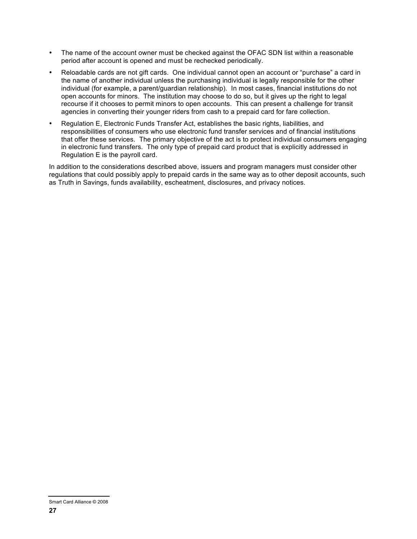- The name of the account owner must be checked against the OFAC SDN list within a reasonable period after account is opened and must be rechecked periodically.
- Reloadable cards are not gift cards. One individual cannot open an account or "purchase" a card in the name of another individual unless the purchasing individual is legally responsible for the other individual (for example, a parent/guardian relationship). In most cases, financial institutions do not open accounts for minors. The institution may choose to do so, but it gives up the right to legal recourse if it chooses to permit minors to open accounts. This can present a challenge for transit agencies in converting their younger riders from cash to a prepaid card for fare collection.
- Regulation E, Electronic Funds Transfer Act, establishes the basic rights, liabilities, and responsibilities of consumers who use electronic fund transfer services and of financial institutions that offer these services. The primary objective of the act is to protect individual consumers engaging in electronic fund transfers. The only type of prepaid card product that is explicitly addressed in Regulation E is the payroll card.

In addition to the considerations described above, issuers and program managers must consider other regulations that could possibly apply to prepaid cards in the same way as to other deposit accounts, such as Truth in Savings, funds availability, escheatment, disclosures, and privacy notices.

Smart Card Alliance © 2008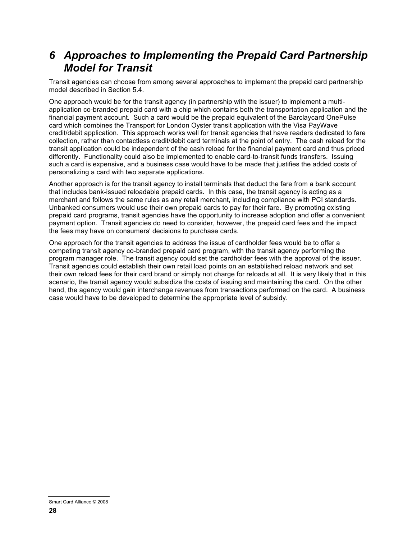## *6 Approaches to Implementing the Prepaid Card Partnership Model for Transit*

Transit agencies can choose from among several approaches to implement the prepaid card partnership model described in Section 5.4.

One approach would be for the transit agency (in partnership with the issuer) to implement a multiapplication co-branded prepaid card with a chip which contains both the transportation application and the financial payment account. Such a card would be the prepaid equivalent of the Barclaycard OnePulse card which combines the Transport for London Oyster transit application with the Visa PayWave credit/debit application. This approach works well for transit agencies that have readers dedicated to fare collection, rather than contactless credit/debit card terminals at the point of entry. The cash reload for the transit application could be independent of the cash reload for the financial payment card and thus priced differently. Functionality could also be implemented to enable card-to-transit funds transfers. Issuing such a card is expensive, and a business case would have to be made that justifies the added costs of personalizing a card with two separate applications.

Another approach is for the transit agency to install terminals that deduct the fare from a bank account that includes bank-issued reloadable prepaid cards. In this case, the transit agency is acting as a merchant and follows the same rules as any retail merchant, including compliance with PCI standards. Unbanked consumers would use their own prepaid cards to pay for their fare. By promoting existing prepaid card programs, transit agencies have the opportunity to increase adoption and offer a convenient payment option. Transit agencies do need to consider, however, the prepaid card fees and the impact the fees may have on consumers' decisions to purchase cards.

One approach for the transit agencies to address the issue of cardholder fees would be to offer a competing transit agency co-branded prepaid card program, with the transit agency performing the program manager role. The transit agency could set the cardholder fees with the approval of the issuer. Transit agencies could establish their own retail load points on an established reload network and set their own reload fees for their card brand or simply not charge for reloads at all. It is very likely that in this scenario, the transit agency would subsidize the costs of issuing and maintaining the card. On the other hand, the agency would gain interchange revenues from transactions performed on the card. A business case would have to be developed to determine the appropriate level of subsidy.

Smart Card Alliance © 2008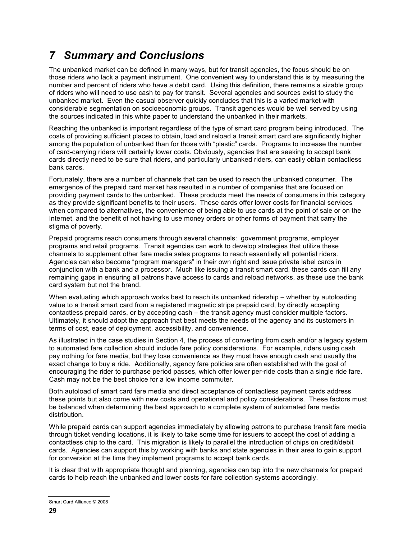# *7 Summary and Conclusions*

The unbanked market can be defined in many ways, but for transit agencies, the focus should be on those riders who lack a payment instrument. One convenient way to understand this is by measuring the number and percent of riders who have a debit card. Using this definition, there remains a sizable group of riders who will need to use cash to pay for transit. Several agencies and sources exist to study the unbanked market. Even the casual observer quickly concludes that this is a varied market with considerable segmentation on socioeconomic groups. Transit agencies would be well served by using the sources indicated in this white paper to understand the unbanked in their markets.

Reaching the unbanked is important regardless of the type of smart card program being introduced. The costs of providing sufficient places to obtain, load and reload a transit smart card are significantly higher among the population of unbanked than for those with "plastic" cards. Programs to increase the number of card-carrying riders will certainly lower costs. Obviously, agencies that are seeking to accept bank cards directly need to be sure that riders, and particularly unbanked riders, can easily obtain contactless bank cards.

Fortunately, there are a number of channels that can be used to reach the unbanked consumer. The emergence of the prepaid card market has resulted in a number of companies that are focused on providing payment cards to the unbanked. These products meet the needs of consumers in this category as they provide significant benefits to their users. These cards offer lower costs for financial services when compared to alternatives, the convenience of being able to use cards at the point of sale or on the Internet, and the benefit of not having to use money orders or other forms of payment that carry the stigma of poverty.

Prepaid programs reach consumers through several channels: government programs, employer programs and retail programs. Transit agencies can work to develop strategies that utilize these channels to supplement other fare media sales programs to reach essentially all potential riders. Agencies can also become "program managers" in their own right and issue private label cards in conjunction with a bank and a processor. Much like issuing a transit smart card, these cards can fill any remaining gaps in ensuring all patrons have access to cards and reload networks, as these use the bank card system but not the brand.

When evaluating which approach works best to reach its unbanked ridership – whether by autoloading value to a transit smart card from a registered magnetic stripe prepaid card, by directly accepting contactless prepaid cards, or by accepting cash – the transit agency must consider multiple factors. Ultimately, it should adopt the approach that best meets the needs of the agency and its customers in terms of cost, ease of deployment, accessibility, and convenience.

As illustrated in the case studies in Section 4, the process of converting from cash and/or a legacy system to automated fare collection should include fare policy considerations. For example, riders using cash pay nothing for fare media, but they lose convenience as they must have enough cash and usually the exact change to buy a ride. Additionally, agency fare policies are often established with the goal of encouraging the rider to purchase period passes, which offer lower per-ride costs than a single ride fare. Cash may not be the best choice for a low income commuter.

Both autoload of smart card fare media and direct acceptance of contactless payment cards address these points but also come with new costs and operational and policy considerations. These factors must be balanced when determining the best approach to a complete system of automated fare media distribution.

While prepaid cards can support agencies immediately by allowing patrons to purchase transit fare media through ticket vending locations, it is likely to take some time for issuers to accept the cost of adding a contactless chip to the card. This migration is likely to parallel the introduction of chips on credit/debit cards. Agencies can support this by working with banks and state agencies in their area to gain support for conversion at the time they implement programs to accept bank cards.

It is clear that with appropriate thought and planning, agencies can tap into the new channels for prepaid cards to help reach the unbanked and lower costs for fare collection systems accordingly.

Smart Card Alliance © 2008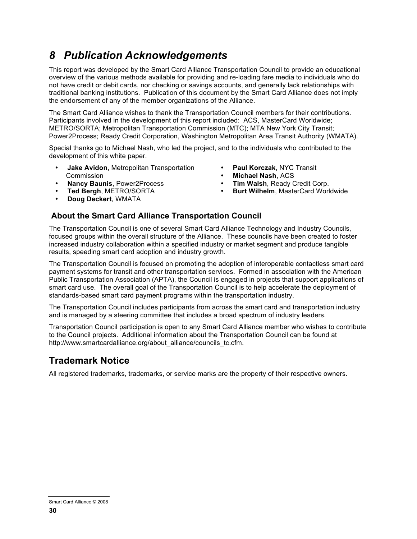## *8 Publication Acknowledgements*

This report was developed by the Smart Card Alliance Transportation Council to provide an educational overview of the various methods available for providing and re-loading fare media to individuals who do not have credit or debit cards, nor checking or savings accounts, and generally lack relationships with traditional banking institutions. Publication of this document by the Smart Card Alliance does not imply the endorsement of any of the member organizations of the Alliance.

The Smart Card Alliance wishes to thank the Transportation Council members for their contributions. Participants involved in the development of this report included: ACS, MasterCard Worldwide; METRO/SORTA; Metropolitan Transportation Commission (MTC); MTA New York City Transit; Power2Process; Ready Credit Corporation, Washington Metropolitan Area Transit Authority (WMATA).

Special thanks go to Michael Nash, who led the project, and to the individuals who contributed to the development of this white paper.

**Michael Nash, ACS<br>Tim Walsh, Ready Credit Corp.** 

**Burt Wilhelm, MasterCard Worldwide** 

- **Jake Avidon**, Metropolitan Transportation **Paul Korczak**, NYC Transit
- **Nancy Baunis**, Power2Process **Tim Walsh**, Ready Credit Corp.
- 
- **Doug Deckert**, WMATA

#### **About the Smart Card Alliance Transportation Council**

The Transportation Council is one of several Smart Card Alliance Technology and Industry Councils, focused groups within the overall structure of the Alliance. These councils have been created to foster increased industry collaboration within a specified industry or market segment and produce tangible results, speeding smart card adoption and industry growth.

The Transportation Council is focused on promoting the adoption of interoperable contactless smart card payment systems for transit and other transportation services. Formed in association with the American Public Transportation Association (APTA), the Council is engaged in projects that support applications of smart card use. The overall goal of the Transportation Council is to help accelerate the deployment of standards-based smart card payment programs within the transportation industry.

The Transportation Council includes participants from across the smart card and transportation industry and is managed by a steering committee that includes a broad spectrum of industry leaders.

Transportation Council participation is open to any Smart Card Alliance member who wishes to contribute to the Council projects. Additional information about the Transportation Council can be found at http://www.smartcardalliance.org/about\_alliance/councils\_tc.cfm.

#### **Trademark Notice**

All registered trademarks, trademarks, or service marks are the property of their respective owners.

Smart Card Alliance © 2008